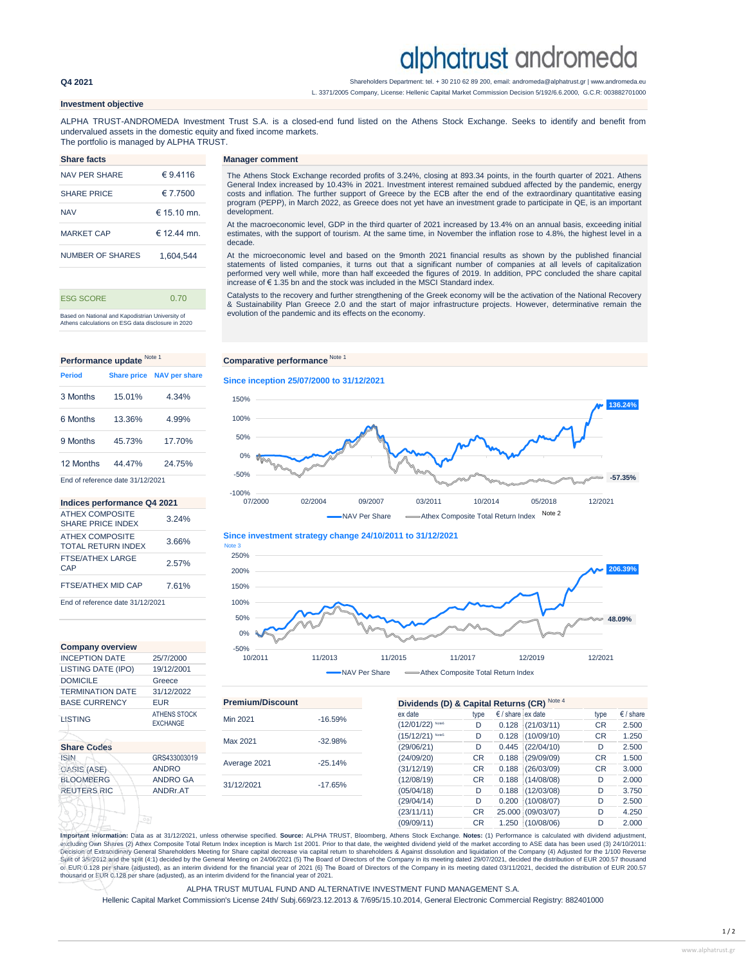# alphatrust andromeda

**Q4 2021** Shareholders Department: tel. + 30 210 62 89 200, email: andromeda@alphatrust.gr | www.andromeda.eu

L. 3371/2005 Company, License: Hellenic Capital Market Commission Decision 5/192/6.6.2000, G.C.R: 003882701000

## **Investment objective**

ALPHA TRUST-ANDROMEDA Investment Trust S.A. is a closed-end fund listed on the Athens Stock Exchange. Seeks to identify and benefit from undervalued assets in the domestic equity and fixed income markets.

**Manager comment** 

**Since inception 25/07/2000 to 31/12/2021**

0% 50%

The portfolio is managed by ALPHA TRUST.

| <b>Share facts</b> |                |
|--------------------|----------------|
| NAV PFR SHARF      | € 9 4116       |
| <b>SHARF PRICE</b> | € 7 7500       |
| <b>NAV</b>         | $\in$ 15 10 mn |
| <b>MARKET CAP</b>  | $\in$ 12 44 mn |
| NUMBER OF SHARES   | 1,604,544      |
|                    |                |

Based on National and Kapodistrian University of Athens calculations on ESG data disclosure in 2020 ESG SCORE 0.70

The Athens Stock Exchange recorded profits of 3.24%, closing at 893.34 points, in the fourth quarter of 2021. Athens<br>General Index increased by 10.43% in 2021. Investment interest remained subdued affected by the pandemic, costs and inflation. The further support of Greece by the ECB after the end of the extraordinary quantitative easing program (PEPP), in March 2022, as Greece does not yet have an investment grade to participate in QE, is an important development.

At the macroeconomic level, GDP in the third quarter of 2021 increased by 13.4% on an annual basis, exceeding initial estimates, with the support of tourism. At the same time, in November the inflation rose to 4.8%, the highest level in a decade.

At the microeconomic level and based on the 9month 2021 financial results as shown by the published financial<br>statements of listed companies, it turns out that a significant number of companies at all levels of capitalizat performed very well while, more than half exceeded the figures of 2019. In addition, PPC concluded the share capital increase of € 1.35 bn and the stock was included in the MSCI Standard index.

Catalysts to the recovery and further strengthening of the Greek economy will be the activation of the National Recovery & Sustainability Plan Greece 2.0 and the start of major infrastructure projects. However, determinative remain the evolution of the pandemic and its effects on the economy.

# **Performance update** Note 1 **Comparative performance** Note 1 12 Μonths 44.47% 24.75% 6 Μonths 13.36% 4.99% 9 Μonths 45.73% 17.70% End of reference date 31/12/2021 **Period Share price NAV per share** 3 Μonths 15.01% 4.34%

### **Indices performance Q4 2021**

| <b>ATHEX COMPOSITE</b><br><b>SHARE PRICE INDEX</b>  | 3 24% |
|-----------------------------------------------------|-------|
| <b>ATHEX COMPOSITE</b><br><b>TOTAL RETURN INDEX</b> | 3.66% |
| <b>FTSE/ATHEX LARGE</b><br>CAP                      | 2.57% |
| FTSE/ATHEX MID CAP                                  | 761%  |
| End of reference date 31/12/2021                    |       |

| <b>Company overview</b> |                                        | $-50%$   |
|-------------------------|----------------------------------------|----------|
| <b>INCEPTION DATE</b>   | 25/7/2000                              | 10/2     |
| LISTING DATE (IPO)      | 19/12/2001                             |          |
| <b>DOMICILE</b>         | Greece                                 |          |
| <b>TERMINATION DATE</b> | 31/12/2022                             |          |
| <b>BASE CURRENCY</b>    | EUR                                    | Premiur  |
| LISTING                 | <b>ATHENS STOCK</b><br><b>EXCHANGE</b> | Min 2021 |
|                         |                                        | Max 2021 |
| <b>Share Codes</b>      |                                        |          |
| <b>ISIN</b>             | GRS433003019                           |          |
| OASIS (ASE)             | <b>ANDRO</b>                           | Average  |
| <b>BLOOMBERG</b>        | <b>ANDRO GA</b>                        | 31/12/20 |
| <b>REUTERS RIC</b>      | ANDRr.AT                               |          |
|                         |                                        |          |
|                         | 0 <sub>0</sub>                         |          |

| 150%    |         |         |               |                                     |         |         |         | 136.24%   |
|---------|---------|---------|---------------|-------------------------------------|---------|---------|---------|-----------|
| 100%    |         |         |               |                                     |         |         |         |           |
| 50%     |         |         |               |                                     |         |         |         |           |
| 0%      | W       |         |               |                                     |         |         |         |           |
| $-50%$  |         |         |               |                                     |         |         |         | $-57.35%$ |
| $-100%$ | 07/2000 | 02/2004 | 09/2007       | 03/2011                             | 10/2014 | 05/2018 | 12/2021 |           |
|         |         |         | NAV Per Share | -Athex Composite Total Return Index |         | Note 2  |         |           |



 $-50\%$ <br>10/2011 10/2011 11/2013 11/2015 11/2017 12/2019 12/2021 NAV Per Share - - Athex Composite Total Return Index

| IEN WIINA HUN DATE                 | 31122022            |                         |           |                                             |           |                                   |                      |           |                    |  |  |
|------------------------------------|---------------------|-------------------------|-----------|---------------------------------------------|-----------|-----------------------------------|----------------------|-----------|--------------------|--|--|
| <b>BASE CURRENCY</b><br><b>EUR</b> |                     | <b>Premium/Discount</b> |           | Dividends (D) & Capital Returns (CR) Note 4 |           |                                   |                      |           |                    |  |  |
| LISTING                            | <b>ATHENS STOCK</b> | Min 2021                | $-16.59%$ | ex date                                     | type      | $\epsilon$ / share $\epsilon$ ate |                      | type      | $\epsilon$ / share |  |  |
|                                    | <b>EXCHANGE</b>     |                         |           | (12/01/22) Note6                            | D         |                                   | $0.128$ $(21/03/11)$ | CR        | 2.500              |  |  |
|                                    |                     | Max 2021                | $-32.98%$ | $(15/12/21)$ Notes                          | D         |                                   | $0.128$ $(10/09/10)$ | CR        | 1.250              |  |  |
| <b>Share Codes</b>                 |                     |                         |           | (29/06/21)                                  | D         |                                   | $0.445$ $(22/04/10)$ | D         | 2.500              |  |  |
| <b>ISIN</b>                        | GRS433003019        | Average 2021            | $-25.14%$ | (24/09/20)                                  | <b>CR</b> |                                   | $0.188$ (29/09/09)   | <b>CR</b> | 1.500              |  |  |
| OASIS (ASE)                        | <b>ANDRO</b>        |                         |           | (31/12/19)                                  | <b>CR</b> |                                   | $0.188$ $(26/03/09)$ | <b>CR</b> | 3.000              |  |  |
| <b>BLOOMBERG</b>                   | <b>ANDRO GA</b>     | 31/12/2021              | $-17.65%$ | (12/08/19)                                  | <b>CR</b> |                                   | $0.188$ $(14/08/08)$ | D         | 2.000              |  |  |
| REUTERS RIC                        | ANDRr.AT            |                         |           | (05/04/18)                                  | D         |                                   | $0.188$ $(12/03/08)$ | D         | 3.750              |  |  |
|                                    |                     |                         |           | (29/04/14)                                  | D         |                                   | $0.200$ : (10/08/07) | D         | 2.500              |  |  |
|                                    |                     |                         |           | (23/11/11)                                  | <b>CR</b> |                                   | 25.000 (09/03/07)    | D         | 4.250              |  |  |
|                                    |                     |                         |           | (09/09/11)                                  | <b>CR</b> |                                   | 1.250 (10/08/06)     | D         | 2.000              |  |  |

**Important information:** Data as at 31/12/2021, unless otherwise specified. **Source:** ALPHA TRUST, Bloomberg, Athens Stock Exchange. **Notes:** (1) Performance is calculated with dividend adjustment, excluding Own Shares (2) Athex Composite Total Return Index inception is March 1st 2001. Prior to that date, the weighted dividend yield of the market according to ASE data has been used (3) 24/10/2011: Decision of Extraordinary General Shareholders Meeting for Share capital decrease via capital return to shareholders & Against dissolution and liquidation of the Company (4) Adjusted for the 1/100 Reverse<br>Split of 3/9/2012 or EUR 0.128 per share (adjusted), as an interim dividend for the financial year of 2021 (6) Τhe Board of Directors of the Company in its meeting dated 03/11/2021, decided the distribution of EUR 200.57 thousand or EUR 0.128 per share (adjusted), as an interim dividend for the financial year of 2021.

### ALPHA TRUST MUTUAL FUND AND ALTERNATIVE INVESTMENT FUND MANAGEMENT S.A.

Hellenic Capital Market Commission's License 24th/ Subj.669/23.12.2013 & 7/695/15.10.2014, General Electronic Commercial Registry: 882401000

**136.24%**

**48.09%**